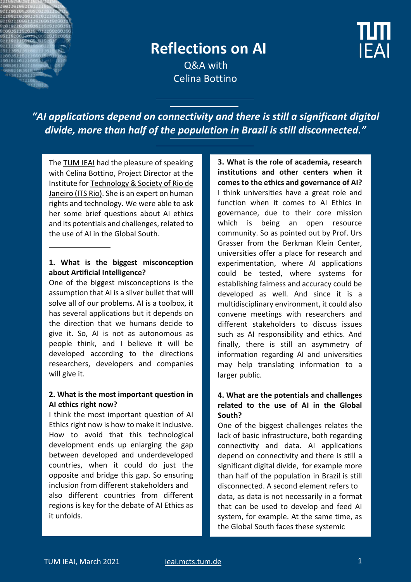

# **Reflections on AI**

 Q&A with Celina Bottino



*"AI applications depend on connectivity and there is still a significant digital divide, more than half of the population in Brazil is still disconnected."*

The [TUM IEAI](https://ieai.mcts.tum.de/) had the pleasure of speaking with Celina Bottino, Project Director at the Institute for [Technology & Society of Rio de](https://itsrio.org/en/en-home/)  [Janeiro \(ITS Rio\).](https://itsrio.org/en/en-home/) She is an expert on human rights and technology. We were able to ask her some brief questions about AI ethics and its potentials and challenges, related to the use of AI in the Global South.

#### **1. What is the biggest misconception about Artificial Intelligence?**

One of the biggest misconceptions is the assumption that AI is a silver bullet that will solve all of our problems. AI is a toolbox, it has several applications but it depends on the direction that we humans decide to give it. So, AI is not as autonomous as people think, and I believe it will be developed according to the directions researchers, developers and companies will give it.

### **2. What is the most important question in AI ethics right now?**

I think the most important question of AI Ethics right now is how to make it inclusive. How to avoid that this technological development ends up enlarging the gap between developed and underdeveloped countries, when it could do just the opposite and bridge this gap. So ensuring inclusion from different stakeholders and also different countries from different regions is key for the debate of AI Ethics as it unfolds.

**3. What is the role of academia, research institutions and other centers when it comes to the ethics and governance of AI?** I think universities have a great role and function when it comes to AI Ethics in governance, due to their core mission which is being an open resource community. So as pointed out by Prof. Urs Grasser from the Berkman Klein Center, universities offer a place for research and experimentation, where AI applications could be tested, where systems for establishing fairness and accuracy could be developed as well. And since it is a multidisciplinary environment, it could also convene meetings with researchers and different stakeholders to discuss issues such as AI responsibility and ethics. And finally, there is still an asymmetry of information regarding AI and universities may help translating information to a larger public.

## **4. What are the potentials and challenges related to the use of AI in the Global South?**

One of the biggest challenges relates the lack of basic infrastructure, both regarding connectivity and data. AI applications depend on connectivity and there is still a significant digital divide, for example more than half of the population in Brazil is still disconnected. A second element refers to data, as data is not necessarily in a format that can be used to develop and feed AI system, for example. At the same time, as the Global South faces these systemic